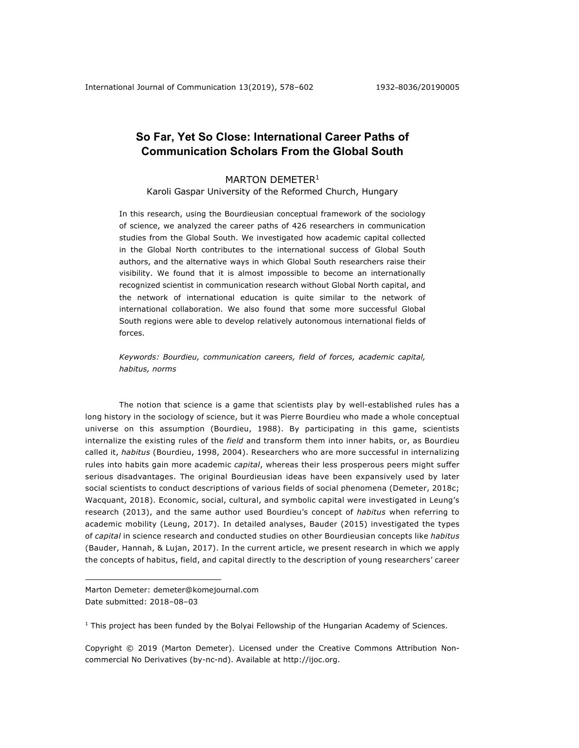# **So Far, Yet So Close: International Career Paths of Communication Scholars From the Global South**

## MARTON DEMETER<sup>1</sup>

Karoli Gaspar University of the Reformed Church, Hungary

In this research, using the Bourdieusian conceptual framework of the sociology of science, we analyzed the career paths of 426 researchers in communication studies from the Global South. We investigated how academic capital collected in the Global North contributes to the international success of Global South authors, and the alternative ways in which Global South researchers raise their visibility. We found that it is almost impossible to become an internationally recognized scientist in communication research without Global North capital, and the network of international education is quite similar to the network of international collaboration. We also found that some more successful Global South regions were able to develop relatively autonomous international fields of forces.

*Keywords: Bourdieu, communication careers, field of forces, academic capital, habitus, norms*

The notion that science is a game that scientists play by well-established rules has a long history in the sociology of science, but it was Pierre Bourdieu who made a whole conceptual universe on this assumption (Bourdieu, 1988). By participating in this game, scientists internalize the existing rules of the *field* and transform them into inner habits, or, as Bourdieu called it, *habitus* (Bourdieu, 1998, 2004). Researchers who are more successful in internalizing rules into habits gain more academic *capital*, whereas their less prosperous peers might suffer serious disadvantages. The original Bourdieusian ideas have been expansively used by later social scientists to conduct descriptions of various fields of social phenomena (Demeter, 2018c; Wacquant, 2018). Economic, social, cultural, and symbolic capital were investigated in Leung's research (2013), and the same author used Bourdieu's concept of *habitus* when referring to academic mobility (Leung, 2017). In detailed analyses, Bauder (2015) investigated the types of *capital* in science research and conducted studies on other Bourdieusian concepts like *habitus* (Bauder, Hannah, & Lujan, 2017). In the current article, we present research in which we apply the concepts of habitus, field, and capital directly to the description of young researchers' career

Marton Demeter: demeter@komejournal.com Date submitted: 2018–08–03

 $\overline{a}$ 

 $1$  This project has been funded by the Bolyai Fellowship of the Hungarian Academy of Sciences.

Copyright © 2019 (Marton Demeter). Licensed under the Creative Commons Attribution Noncommercial No Derivatives (by-nc-nd). Available at http://ijoc.org.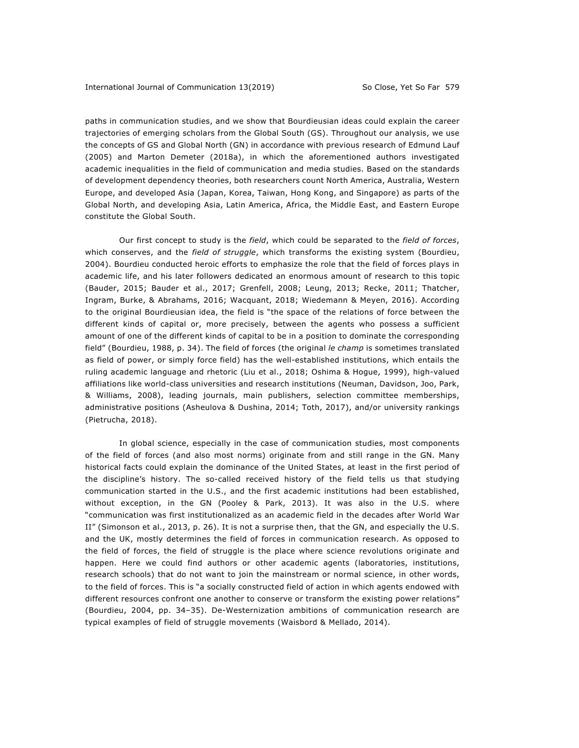paths in communication studies, and we show that Bourdieusian ideas could explain the career trajectories of emerging scholars from the Global South (GS). Throughout our analysis, we use the concepts of GS and Global North (GN) in accordance with previous research of Edmund Lauf (2005) and Marton Demeter (2018a), in which the aforementioned authors investigated academic inequalities in the field of communication and media studies. Based on the standards of development dependency theories, both researchers count North America, Australia, Western Europe, and developed Asia (Japan, Korea, Taiwan, Hong Kong, and Singapore) as parts of the Global North, and developing Asia, Latin America, Africa, the Middle East, and Eastern Europe constitute the Global South.

Our first concept to study is the *field*, which could be separated to the *field of forces*, which conserves, and the *field of struggle*, which transforms the existing system (Bourdieu, 2004). Bourdieu conducted heroic efforts to emphasize the role that the field of forces plays in academic life, and his later followers dedicated an enormous amount of research to this topic (Bauder, 2015; Bauder et al., 2017; Grenfell, 2008; Leung, 2013; Recke, 2011; Thatcher, Ingram, Burke, & Abrahams, 2016; Wacquant, 2018; Wiedemann & Meyen, 2016). According to the original Bourdieusian idea, the field is "the space of the relations of force between the different kinds of capital or, more precisely, between the agents who possess a sufficient amount of one of the different kinds of capital to be in a position to dominate the corresponding field" (Bourdieu, 1988, p. 34). The field of forces (the original *le champ* is sometimes translated as field of power, or simply force field) has the well-established institutions, which entails the ruling academic language and rhetoric (Liu et al., 2018; Oshima & Hogue, 1999), high-valued affiliations like world-class universities and research institutions (Neuman, Davidson, Joo, Park, & Williams, 2008), leading journals, main publishers, selection committee memberships, administrative positions (Asheulova & Dushina, 2014; Toth, 2017), and/or university rankings (Pietrucha, 2018).

In global science, especially in the case of communication studies, most components of the field of forces (and also most norms) originate from and still range in the GN. Many historical facts could explain the dominance of the United States, at least in the first period of the discipline's history. The so-called received history of the field tells us that studying communication started in the U.S., and the first academic institutions had been established, without exception, in the GN (Pooley & Park, 2013). It was also in the U.S. where "communication was first institutionalized as an academic field in the decades after World War II" (Simonson et al., 2013, p. 26). It is not a surprise then, that the GN, and especially the U.S. and the UK, mostly determines the field of forces in communication research. As opposed to the field of forces, the field of struggle is the place where science revolutions originate and happen. Here we could find authors or other academic agents (laboratories, institutions, research schools) that do not want to join the mainstream or normal science, in other words, to the field of forces. This is "a socially constructed field of action in which agents endowed with different resources confront one another to conserve or transform the existing power relations" (Bourdieu, 2004, pp. 34–35). De-Westernization ambitions of communication research are typical examples of field of struggle movements (Waisbord & Mellado, 2014).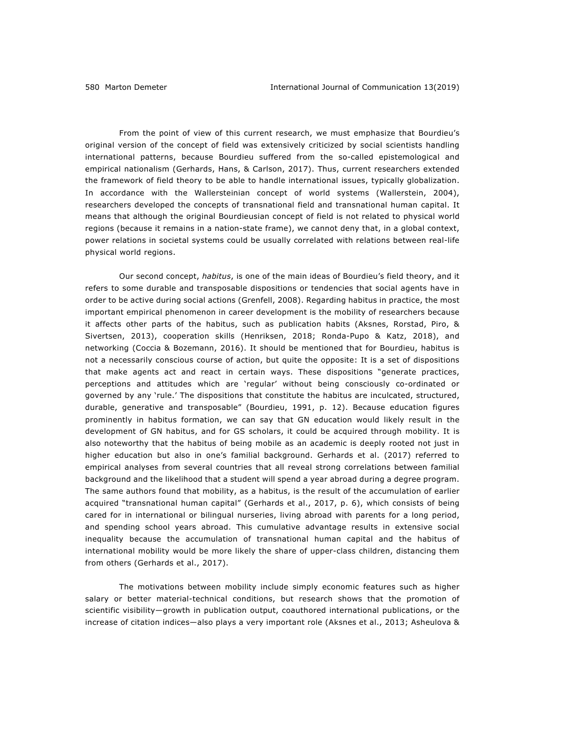From the point of view of this current research, we must emphasize that Bourdieu's original version of the concept of field was extensively criticized by social scientists handling international patterns, because Bourdieu suffered from the so-called epistemological and empirical nationalism (Gerhards, Hans, & Carlson, 2017). Thus, current researchers extended the framework of field theory to be able to handle international issues, typically globalization. In accordance with the Wallersteinian concept of world systems (Wallerstein, 2004), researchers developed the concepts of transnational field and transnational human capital. It means that although the original Bourdieusian concept of field is not related to physical world regions (because it remains in a nation-state frame), we cannot deny that, in a global context, power relations in societal systems could be usually correlated with relations between real-life physical world regions.

Our second concept, *habitus*, is one of the main ideas of Bourdieu's field theory, and it refers to some durable and transposable dispositions or tendencies that social agents have in order to be active during social actions (Grenfell, 2008). Regarding habitus in practice, the most important empirical phenomenon in career development is the mobility of researchers because it affects other parts of the habitus, such as publication habits (Aksnes, Rorstad, Piro, & Sivertsen, 2013), cooperation skills (Henriksen, 2018; Ronda-Pupo & Katz, 2018), and networking (Coccia & Bozemann, 2016). It should be mentioned that for Bourdieu, habitus is not a necessarily conscious course of action, but quite the opposite: It is a set of dispositions that make agents act and react in certain ways. These dispositions "generate practices, perceptions and attitudes which are 'regular' without being consciously co-ordinated or governed by any 'rule.' The dispositions that constitute the habitus are inculcated, structured, durable, generative and transposable" (Bourdieu, 1991, p. 12). Because education figures prominently in habitus formation, we can say that GN education would likely result in the development of GN habitus, and for GS scholars, it could be acquired through mobility. It is also noteworthy that the habitus of being mobile as an academic is deeply rooted not just in higher education but also in one's familial background. Gerhards et al. (2017) referred to empirical analyses from several countries that all reveal strong correlations between familial background and the likelihood that a student will spend a year abroad during a degree program. The same authors found that mobility, as a habitus, is the result of the accumulation of earlier acquired "transnational human capital" (Gerhards et al., 2017, p. 6), which consists of being cared for in international or bilingual nurseries, living abroad with parents for a long period, and spending school years abroad. This cumulative advantage results in extensive social inequality because the accumulation of transnational human capital and the habitus of international mobility would be more likely the share of upper-class children, distancing them from others (Gerhards et al., 2017).

The motivations between mobility include simply economic features such as higher salary or better material-technical conditions, but research shows that the promotion of scientific visibility—growth in publication output, coauthored international publications, or the increase of citation indices—also plays a very important role (Aksnes et al., 2013; Asheulova &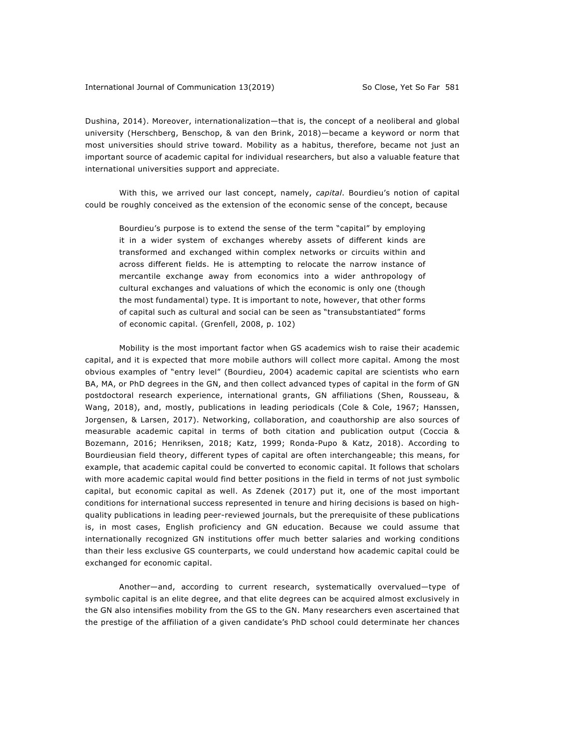Dushina, 2014). Moreover, internationalization—that is, the concept of a neoliberal and global university (Herschberg, Benschop, & van den Brink, 2018)—became a keyword or norm that most universities should strive toward. Mobility as a habitus, therefore, became not just an important source of academic capital for individual researchers, but also a valuable feature that international universities support and appreciate.

With this, we arrived our last concept, namely, *capital*. Bourdieu's notion of capital could be roughly conceived as the extension of the economic sense of the concept, because

Bourdieu's purpose is to extend the sense of the term "capital" by employing it in a wider system of exchanges whereby assets of different kinds are transformed and exchanged within complex networks or circuits within and across different fields. He is attempting to relocate the narrow instance of mercantile exchange away from economics into a wider anthropology of cultural exchanges and valuations of which the economic is only one (though the most fundamental) type. It is important to note, however, that other forms of capital such as cultural and social can be seen as "transubstantiated" forms of economic capital. (Grenfell, 2008, p. 102)

Mobility is the most important factor when GS academics wish to raise their academic capital, and it is expected that more mobile authors will collect more capital. Among the most obvious examples of "entry level" (Bourdieu, 2004) academic capital are scientists who earn BA, MA, or PhD degrees in the GN, and then collect advanced types of capital in the form of GN postdoctoral research experience, international grants, GN affiliations (Shen, Rousseau, & Wang, 2018), and, mostly, publications in leading periodicals (Cole & Cole, 1967; Hanssen, Jorgensen, & Larsen, 2017). Networking, collaboration, and coauthorship are also sources of measurable academic capital in terms of both citation and publication output (Coccia & Bozemann, 2016; Henriksen, 2018; Katz, 1999; Ronda-Pupo & Katz, 2018). According to Bourdieusian field theory, different types of capital are often interchangeable; this means, for example, that academic capital could be converted to economic capital. It follows that scholars with more academic capital would find better positions in the field in terms of not just symbolic capital, but economic capital as well. As Zdenek (2017) put it, one of the most important conditions for international success represented in tenure and hiring decisions is based on highquality publications in leading peer-reviewed journals, but the prerequisite of these publications is, in most cases, English proficiency and GN education. Because we could assume that internationally recognized GN institutions offer much better salaries and working conditions than their less exclusive GS counterparts, we could understand how academic capital could be exchanged for economic capital.

Another—and, according to current research, systematically overvalued—type of symbolic capital is an elite degree, and that elite degrees can be acquired almost exclusively in the GN also intensifies mobility from the GS to the GN. Many researchers even ascertained that the prestige of the affiliation of a given candidate's PhD school could determinate her chances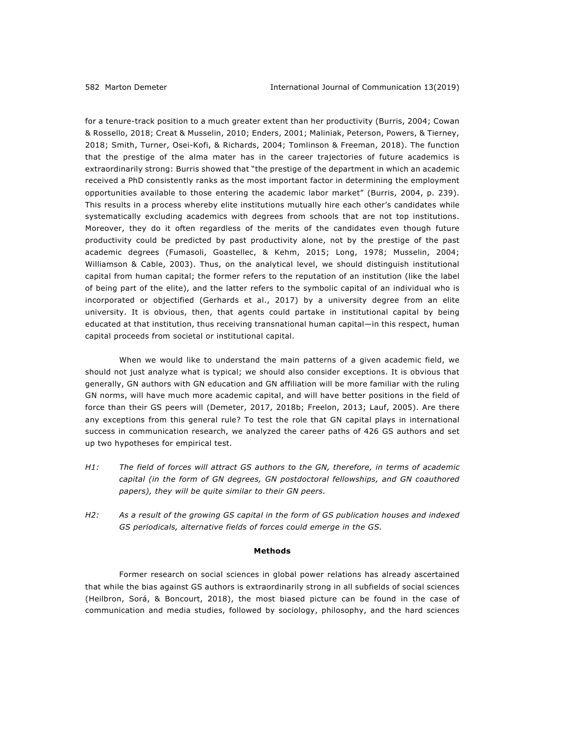for a tenure-track position to a much greater extent than her productivity (Burris, 2004; Cowan & Rossello, 2018; Creat & Musselin, 2010; Enders, 2001; Maliniak, Peterson, Powers, & Tierney, 2018; Smith, Turner, Osei-Kofi, & Richards, 2004; Tomlinson & Freeman, 2018). The function that the prestige of the alma mater has in the career trajectories of future academics is extraordinarily strong: Burris showed that "the prestige of the department in which an academic received a PhD consistently ranks as the most important factor in determining the employment opportunities available to those entering the academic labor market" (Burris, 2004, p. 239). This results in a process whereby elite institutions mutually hire each other's candidates while systematically excluding academics with degrees from schools that are not top institutions. Moreover, they do it often regardless of the merits of the candidates even though future productivity could be predicted by past productivity alone, not by the prestige of the past academic degrees (Fumasoli, Goastellec, & Kehm, 2015; Long, 1978; Musselin, 2004; Williamson & Cable, 2003). Thus, on the analytical level, we should distinguish institutional capital from human capital; the former refers to the reputation of an institution (like the label of being part of the elite), and the latter refers to the symbolic capital of an individual who is incorporated or objectified (Gerhards et al., 2017) by a university degree from an elite university. It is obvious, then, that agents could partake in institutional capital by being educated at that institution, thus receiving transnational human capital—in this respect, human capital proceeds from societal or institutional capital.

When we would like to understand the main patterns of a given academic field, we should not just analyze what is typical; we should also consider exceptions. It is obvious that generally, GN authors with GN education and GN affiliation will be more familiar with the ruling GN norms, will have much more academic capital, and will have better positions in the field of force than their GS peers will (Demeter, 2017, 2018b; Freelon, 2013; Lauf, 2005). Are there any exceptions from this general rule? To test the role that GN capital plays in international success in communication research, we analyzed the career paths of 426 GS authors and set up two hypotheses for empirical test.

- *H1: The field of forces will attract GS authors to the GN, therefore, in terms of academic capital (in the form of GN degrees, GN postdoctoral fellowships, and GN coauthored papers), they will be quite similar to their GN peers.*
- *H2: As a result of the growing GS capital in the form of GS publication houses and indexed GS periodicals, alternative fields of forces could emerge in the GS.*

### **Methods**

Former research on social sciences in global power relations has already ascertained that while the bias against GS authors is extraordinarily strong in all subfields of social sciences (Heilbron, Sorá, & Boncourt, 2018), the most biased picture can be found in the case of communication and media studies, followed by sociology, philosophy, and the hard sciences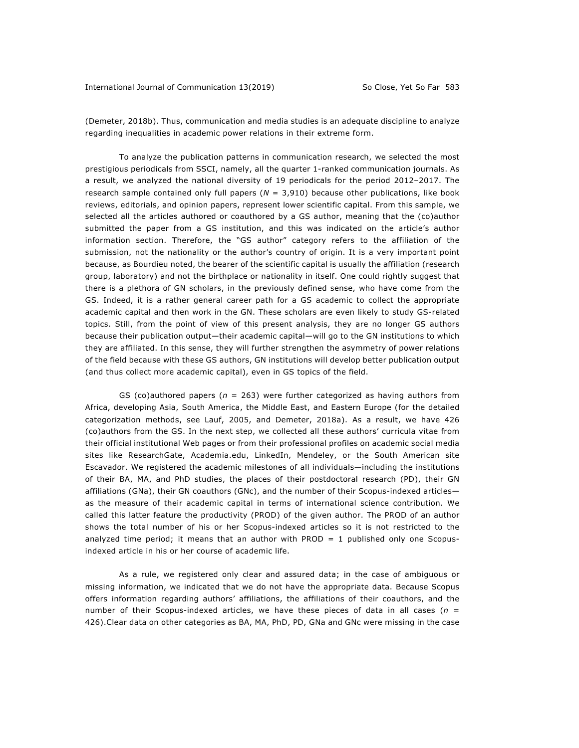(Demeter, 2018b). Thus, communication and media studies is an adequate discipline to analyze regarding inequalities in academic power relations in their extreme form.

To analyze the publication patterns in communication research, we selected the most prestigious periodicals from SSCI, namely, all the quarter 1-ranked communication journals. As a result, we analyzed the national diversity of 19 periodicals for the period 2012–2017. The research sample contained only full papers (*N* = 3,910) because other publications, like book reviews, editorials, and opinion papers, represent lower scientific capital. From this sample, we selected all the articles authored or coauthored by a GS author, meaning that the (co)author submitted the paper from a GS institution, and this was indicated on the article's author information section. Therefore, the "GS author" category refers to the affiliation of the submission, not the nationality or the author's country of origin. It is a very important point because, as Bourdieu noted, the bearer of the scientific capital is usually the affiliation (research group, laboratory) and not the birthplace or nationality in itself. One could rightly suggest that there is a plethora of GN scholars, in the previously defined sense, who have come from the GS. Indeed, it is a rather general career path for a GS academic to collect the appropriate academic capital and then work in the GN. These scholars are even likely to study GS-related topics. Still, from the point of view of this present analysis, they are no longer GS authors because their publication output—their academic capital—will go to the GN institutions to which they are affiliated. In this sense, they will further strengthen the asymmetry of power relations of the field because with these GS authors, GN institutions will develop better publication output (and thus collect more academic capital), even in GS topics of the field.

GS (co)authored papers ( $n = 263$ ) were further categorized as having authors from Africa, developing Asia, South America, the Middle East, and Eastern Europe (for the detailed categorization methods, see Lauf, 2005, and Demeter, 2018a). As a result, we have 426 (co)authors from the GS. In the next step, we collected all these authors' curricula vitae from their official institutional Web pages or from their professional profiles on academic social media sites like ResearchGate, Academia.edu, LinkedIn, Mendeley, or the South American site Escavador. We registered the academic milestones of all individuals—including the institutions of their BA, MA, and PhD studies, the places of their postdoctoral research (PD), their GN affiliations (GNa), their GN coauthors (GNc), and the number of their Scopus-indexed articles as the measure of their academic capital in terms of international science contribution. We called this latter feature the productivity (PROD) of the given author. The PROD of an author shows the total number of his or her Scopus-indexed articles so it is not restricted to the analyzed time period; it means that an author with PROD  $= 1$  published only one Scopusindexed article in his or her course of academic life.

As a rule, we registered only clear and assured data; in the case of ambiguous or missing information, we indicated that we do not have the appropriate data. Because Scopus offers information regarding authors' affiliations, the affiliations of their coauthors, and the number of their Scopus-indexed articles, we have these pieces of data in all cases (*n* = 426).Clear data on other categories as BA, MA, PhD, PD, GNa and GNc were missing in the case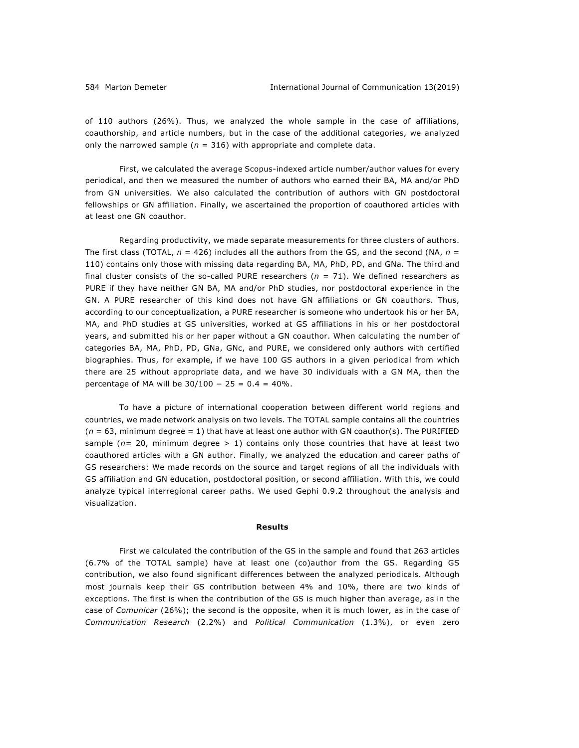of 110 authors (26%). Thus, we analyzed the whole sample in the case of affiliations, coauthorship, and article numbers, but in the case of the additional categories, we analyzed only the narrowed sample ( $n = 316$ ) with appropriate and complete data.

First, we calculated the average Scopus-indexed article number/author values for every periodical, and then we measured the number of authors who earned their BA, MA and/or PhD from GN universities. We also calculated the contribution of authors with GN postdoctoral fellowships or GN affiliation. Finally, we ascertained the proportion of coauthored articles with at least one GN coauthor.

Regarding productivity, we made separate measurements for three clusters of authors. The first class (TOTAL, *n* = 426) includes all the authors from the GS, and the second (NA, *n* = 110) contains only those with missing data regarding BA, MA, PhD, PD, and GNa. The third and final cluster consists of the so-called PURE researchers  $(n = 71)$ . We defined researchers as PURE if they have neither GN BA, MA and/or PhD studies, nor postdoctoral experience in the GN. A PURE researcher of this kind does not have GN affiliations or GN coauthors. Thus, according to our conceptualization, a PURE researcher is someone who undertook his or her BA, MA, and PhD studies at GS universities, worked at GS affiliations in his or her postdoctoral years, and submitted his or her paper without a GN coauthor. When calculating the number of categories BA, MA, PhD, PD, GNa, GNc, and PURE, we considered only authors with certified biographies. Thus, for example, if we have 100 GS authors in a given periodical from which there are 25 without appropriate data, and we have 30 individuals with a GN MA, then the percentage of MA will be  $30/100 - 25 = 0.4 = 40\%$ .

To have a picture of international cooperation between different world regions and countries, we made network analysis on two levels. The TOTAL sample contains all the countries  $(n = 63,$  minimum degree  $= 1$ ) that have at least one author with GN coauthor(s). The PURIFIED sample ( $n=20$ , minimum degree  $> 1$ ) contains only those countries that have at least two coauthored articles with a GN author. Finally, we analyzed the education and career paths of GS researchers: We made records on the source and target regions of all the individuals with GS affiliation and GN education, postdoctoral position, or second affiliation. With this, we could analyze typical interregional career paths. We used Gephi 0.9.2 throughout the analysis and visualization.

### **Results**

First we calculated the contribution of the GS in the sample and found that 263 articles (6.7% of the TOTAL sample) have at least one (co)author from the GS. Regarding GS contribution, we also found significant differences between the analyzed periodicals. Although most journals keep their GS contribution between 4% and 10%, there are two kinds of exceptions. The first is when the contribution of the GS is much higher than average, as in the case of *Comunicar* (26%); the second is the opposite, when it is much lower, as in the case of *Communication Research* (2.2%) and *Political Communication* (1.3%), or even zero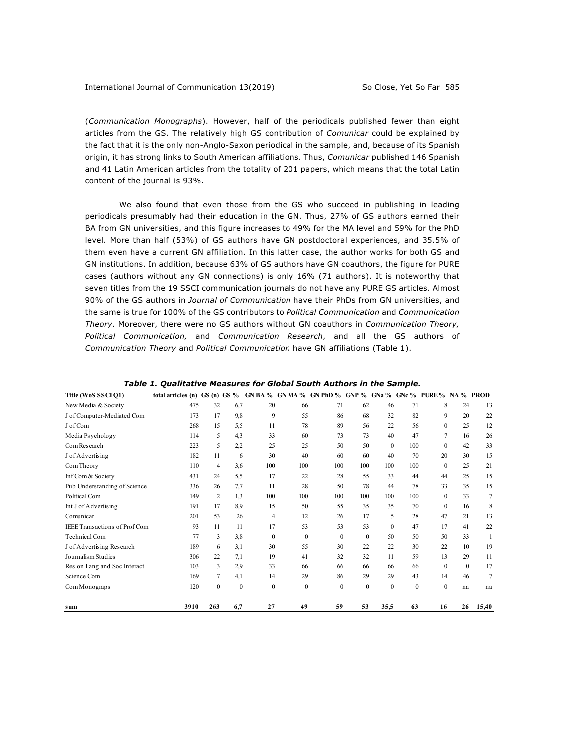(*Communication Monographs*). However, half of the periodicals published fewer than eight articles from the GS. The relatively high GS contribution of *Comunicar* could be explained by the fact that it is the only non-Anglo-Saxon periodical in the sample, and, because of its Spanish origin, it has strong links to South American affiliations. Thus, *Comunicar* published 146 Spanish and 41 Latin American articles from the totality of 201 papers, which means that the total Latin content of the journal is 93%.

We also found that even those from the GS who succeed in publishing in leading periodicals presumably had their education in the GN. Thus, 27% of GS authors earned their BA from GN universities, and this figure increases to 49% for the MA level and 59% for the PhD level. More than half (53%) of GS authors have GN postdoctoral experiences, and 35.5% of them even have a current GN affiliation. In this latter case, the author works for both GS and GN institutions. In addition, because 63% of GS authors have GN coauthors, the figure for PURE cases (authors without any GN connections) is only 16% (71 authors). It is noteworthy that seven titles from the 19 SSCI communication journals do not have any PURE GS articles. Almost 90% of the GS authors in *Journal of Communication* have their PhDs from GN universities, and the same is true for 100% of the GS contributors to *Political Communication* and *Communication Theory*. Moreover, there were no GS authors without GN coauthors in *Communication Theory, Political Communication,* and *Communication Research*, and all the GS authors of *Communication Theory* and *Political Communication* have GN affiliations (Table 1).

| Title (WoS SSCI Q1)                  | total articles (n) $GS$ (n) $GS$ % |          |              |              |              | GN BA % GN MA % GN PhD % GNP % GNa % GNc % PURE % NA % PROD |          |          |          |                  |              |                 |
|--------------------------------------|------------------------------------|----------|--------------|--------------|--------------|-------------------------------------------------------------|----------|----------|----------|------------------|--------------|-----------------|
| New Media & Society                  | 475                                | 32       | 6,7          | 20           | 66           | 71                                                          | 62       | 46       | 71       | 8                | 24           | 13              |
| J of Computer-Mediated Com           | 173                                | 17       | 9,8          | 9            | 55           | 86                                                          | 68       | 32       | 82       | 9                | 20           | 22              |
| J of Com                             | 268                                | 15       | 5,5          | 11           | 78           | 89                                                          | 56       | 22       | 56       | $\mathbf{0}$     | 25           | 12              |
| Media Psychology                     | 114                                | 5        | 4,3          | 33           | 60           | 73                                                          | 73       | 40       | 47       | 7                | 16           | 26              |
| Com Research                         | 223                                | 5        | 2,2          | 25           | 25           | 50                                                          | 50       | $\Omega$ | 100      | $\mathbf{0}$     | 42           | 33              |
| J of Advertising                     | 182                                | 11       | 6            | 30           | 40           | 60                                                          | 60       | 40       | 70       | 20               | 30           | 15              |
| Com Theory                           | 110                                | 4        | 3,6          | 100          | 100          | 100                                                         | 100      | 100      | 100      | $\mathbf{0}$     | 25           | 21              |
| Inf Com & Society                    | 431                                | 24       | 5,5          | 17           | 22           | 28                                                          | 55       | 33       | 44       | 44               | 25           | 15              |
| Pub Understanding of Science         | 336                                | 26       | 7.7          | 11           | 28           | 50                                                          | 78       | 44       | 78       | 33               | 35           | 15              |
| Political Com                        | 149                                | 2        | 1,3          | 100          | 100          | 100                                                         | 100      | 100      | 100      | $\boldsymbol{0}$ | 33           | $7\phantom{.0}$ |
| Int J of Advertising                 | 191                                | 17       | 8,9          | 15           | 50           | 55                                                          | 35       | 35       | 70       | $\mathbf{0}$     | 16           | 8               |
| Comunicar                            | 201                                | 53       | 26           | 4            | 12           | 26                                                          | 17       | 5        | 28       | 47               | 21           | 13              |
| <b>IEEE Transactions of Prof Com</b> | 93                                 | 11       | 11           | 17           | 53           | 53                                                          | 53       | $\theta$ | 47       | 17               | 41           | 22              |
| Technical Com                        | 77                                 | 3        | 3,8          | $\mathbf{0}$ | $\mathbf{0}$ | $\mathbf{0}$                                                | $\theta$ | 50       | 50       | 50               | 33           | 1               |
| J of Advertising Research            | 189                                | 6        | 3,1          | 30           | 55           | 30                                                          | 22       | 22       | 30       | 22               | 10           | 19              |
| Journalism Studies                   | 306                                | 22       | 7,1          | 19           | 41           | 32                                                          | 32       | 11       | 59       | 13               | 29           | 11              |
| Res on Lang and Soc Interact         | 103                                | 3        | 2,9          | 33           | 66           | 66                                                          | 66       | 66       | 66       | $\mathbf{0}$     | $\mathbf{0}$ | 17              |
| Science Com                          | 169                                | 7        | 4,1          | 14           | 29           | 86                                                          | 29       | 29       | 43       | 14               | 46           | $\overline{7}$  |
| Com Monograps                        | 120                                | $\theta$ | $\mathbf{0}$ | $\mathbf{0}$ | $\mathbf{0}$ | $\mathbf{0}$                                                | $\theta$ | $\theta$ | $\theta$ | $\mathbf{0}$     | na           | na              |
| sum                                  | 3910                               | 263      | 6,7          | 27           | 49           | 59                                                          | 53       | 35,5     | 63       | 16               | 26           | 15,40           |

*Table 1. Qualitative Measures for Global South Authors in the Sample.*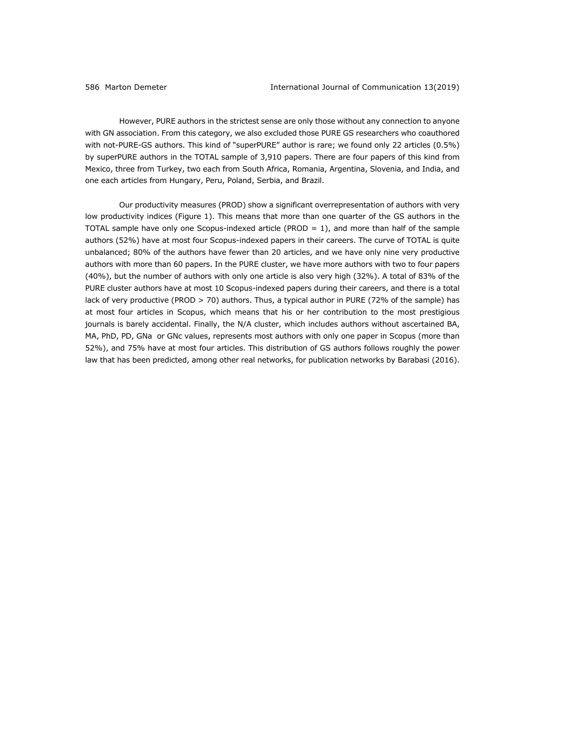However, PURE authors in the strictest sense are only those without any connection to anyone with GN association. From this category, we also excluded those PURE GS researchers who coauthored with not-PURE-GS authors. This kind of "superPURE" author is rare; we found only 22 articles (0.5%) by superPURE authors in the TOTAL sample of 3,910 papers. There are four papers of this kind from Mexico, three from Turkey, two each from South Africa, Romania, Argentina, Slovenia, and India, and one each articles from Hungary, Peru, Poland, Serbia, and Brazil.

Our productivity measures (PROD) show a significant overrepresentation of authors with very low productivity indices (Figure 1). This means that more than one quarter of the GS authors in the TOTAL sample have only one Scopus-indexed article (PROD = 1), and more than half of the sample authors (52%) have at most four Scopus-indexed papers in their careers. The curve of TOTAL is quite unbalanced; 80% of the authors have fewer than 20 articles, and we have only nine very productive authors with more than 60 papers. In the PURE cluster, we have more authors with two to four papers (40%), but the number of authors with only one article is also very high (32%). A total of 83% of the PURE cluster authors have at most 10 Scopus-indexed papers during their careers, and there is a total lack of very productive (PROD > 70) authors. Thus, a typical author in PURE (72% of the sample) has at most four articles in Scopus, which means that his or her contribution to the most prestigious journals is barely accidental. Finally, the N/A cluster, which includes authors without ascertained BA, MA, PhD, PD, GNa or GNc values, represents most authors with only one paper in Scopus (more than 52%), and 75% have at most four articles. This distribution of GS authors follows roughly the power law that has been predicted, among other real networks, for publication networks by Barabasi (2016).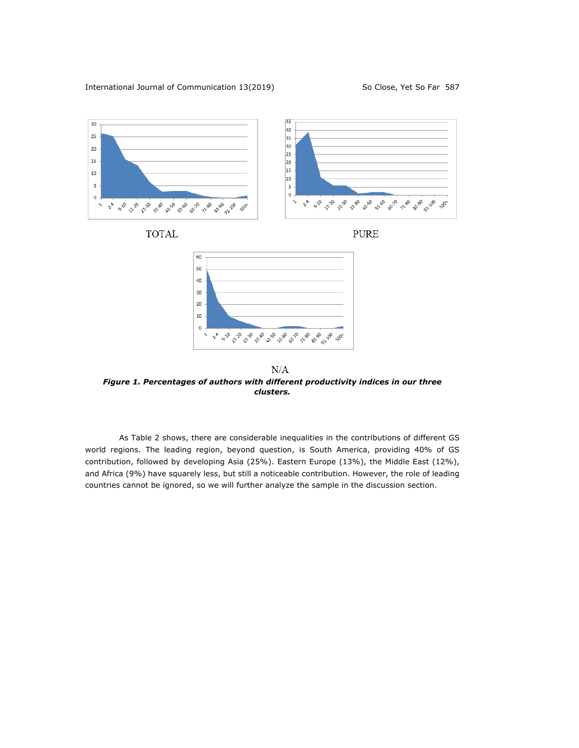International Journal of Communication 13(2019) So Close, Yet So Far 587



*Figure 1. Percentages of authors with different productivity indices in our three clusters.*

As Table 2 shows, there are considerable inequalities in the contributions of different GS world regions. The leading region, beyond question, is South America, providing 40% of GS contribution, followed by developing Asia (25%). Eastern Europe (13%), the Middle East (12%), and Africa (9%) have squarely less, but still a noticeable contribution. However, the role of leading countries cannot be ignored, so we will further analyze the sample in the discussion section.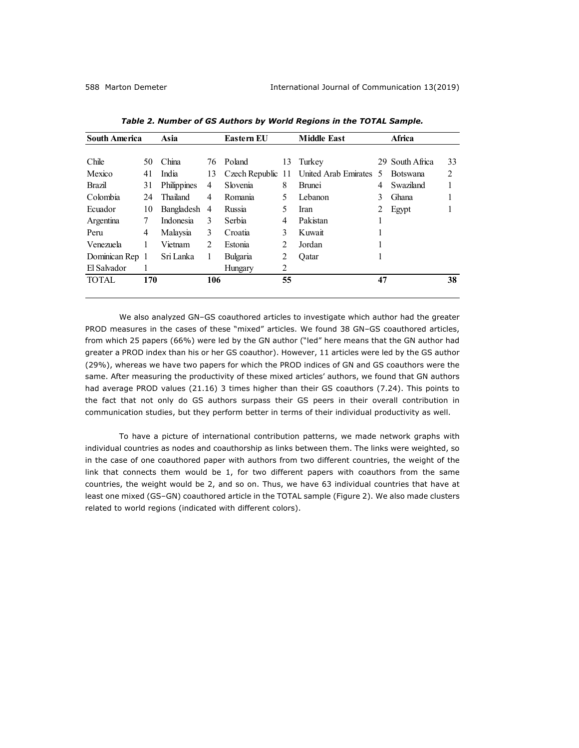| <b>South America</b> |     | Asia         |               | Eastern EU |    | <b>Middle East</b>                     | <b>Africa</b> |                 |    |
|----------------------|-----|--------------|---------------|------------|----|----------------------------------------|---------------|-----------------|----|
|                      |     |              |               |            |    |                                        |               |                 |    |
| Chile                | 50  | China        |               | 76 Poland  | 13 | Turkey                                 |               | 29 South Africa | 33 |
| Mexico               | 41  | India        | 13            |            |    | Czech Republic 11 United Arab Emirates | 5             | <b>Botswana</b> | 2  |
| Brazil               | 31  | Philippines  | 4             | Slovenia   | 8  | <b>Brunei</b>                          | 4             | Swaziland       |    |
| Colombia             | 24  | Thailand     | 4             | Romania    | 5. | Lebanon                                | 3             | Ghana           |    |
| Ecuador              | 10  | Bangladesh 4 |               | Russia     | 5. | Iran                                   | 2             | Egypt           |    |
| Argentina            | 7   | Indonesia    | 3             | Serbia     | 4  | Pakistan                               |               |                 |    |
| Peru                 | 4   | Malaysia     | 3             | Croatia    | 3  | Kuwait                                 |               |                 |    |
| Venezuela            | 1   | Vietnam      | $\mathcal{L}$ | Estonia    | 2  | Jordan                                 |               |                 |    |
| Dominican Rep 1      |     | Sri Lanka    | 1             | Bulgaria   | 2  | Oatar                                  |               |                 |    |
| El Salvador          | 1   |              |               | Hungary    | 2  |                                        |               |                 |    |
| <b>TOTAL</b>         | 170 |              | 106           |            | 55 |                                        | 47            |                 | 38 |
|                      |     |              |               |            |    |                                        |               |                 |    |

*Table 2. Number of GS Authors by World Regions in the TOTAL Sample.*

We also analyzed GN–GS coauthored articles to investigate which author had the greater PROD measures in the cases of these "mixed" articles. We found 38 GN–GS coauthored articles, from which 25 papers (66%) were led by the GN author ("led" here means that the GN author had greater a PROD index than his or her GS coauthor). However, 11 articles were led by the GS author (29%), whereas we have two papers for which the PROD indices of GN and GS coauthors were the same. After measuring the productivity of these mixed articles' authors, we found that GN authors had average PROD values (21.16) 3 times higher than their GS coauthors (7.24). This points to the fact that not only do GS authors surpass their GS peers in their overall contribution in communication studies, but they perform better in terms of their individual productivity as well.

To have a picture of international contribution patterns, we made network graphs with individual countries as nodes and coauthorship as links between them. The links were weighted, so in the case of one coauthored paper with authors from two different countries, the weight of the link that connects them would be 1, for two different papers with coauthors from the same countries, the weight would be 2, and so on. Thus, we have 63 individual countries that have at least one mixed (GS–GN) coauthored article in the TOTAL sample (Figure 2). We also made clusters related to world regions (indicated with different colors).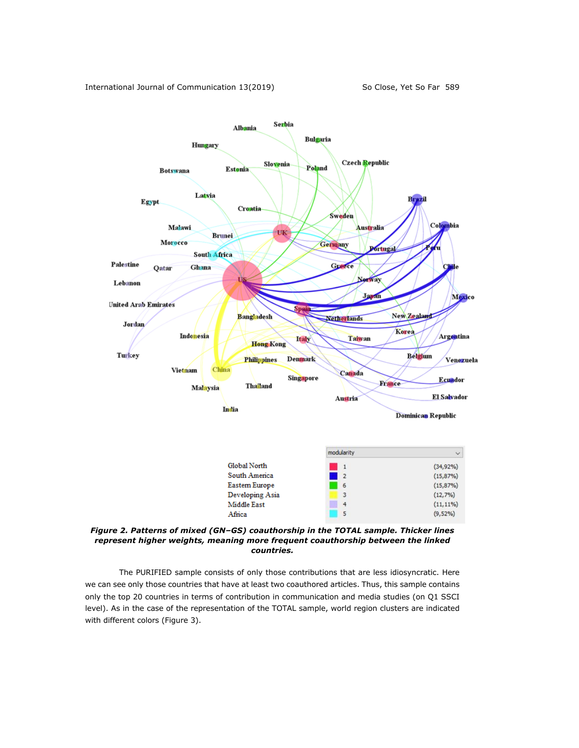

*Figure 2. Patterns of mixed (GN–GS) coauthorship in the TOTAL sample. Thicker lines represent higher weights, meaning more frequent coauthorship between the linked countries.*

The PURIFIED sample consists of only those contributions that are less idiosyncratic. Here we can see only those countries that have at least two coauthored articles. Thus, this sample contains only the top 20 countries in terms of contribution in communication and media studies (on Q1 SSCI level). As in the case of the representation of the TOTAL sample, world region clusters are indicated with different colors (Figure 3).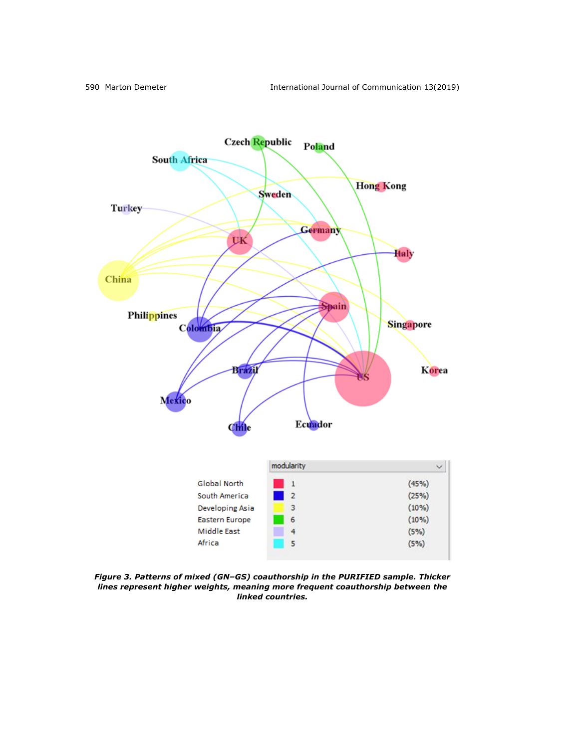

*Figure 3. Patterns of mixed (GN–GS) coauthorship in the PURIFIED sample. Thicker lines represent higher weights, meaning more frequent coauthorship between the linked countries.*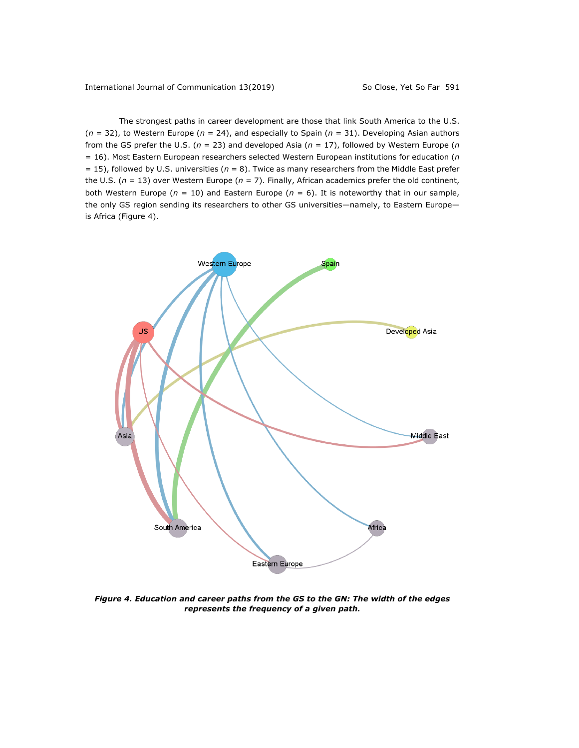The strongest paths in career development are those that link South America to the U.S. (*n* = 32), to Western Europe (*n* = 24), and especially to Spain (*n* = 31). Developing Asian authors from the GS prefer the U.S. (*n* = 23) and developed Asia (*n* = 17), followed by Western Europe (*n* = 16). Most Eastern European researchers selected Western European institutions for education (*n* = 15), followed by U.S. universities (*n* = 8). Twice as many researchers from the Middle East prefer the U.S. (*n* = 13) over Western Europe (*n* = 7). Finally, African academics prefer the old continent, both Western Europe (*n* = 10) and Eastern Europe (*n* = 6). It is noteworthy that in our sample, the only GS region sending its researchers to other GS universities—namely, to Eastern Europe is Africa (Figure 4).



*Figure 4. Education and career paths from the GS to the GN: The width of the edges represents the frequency of a given path.*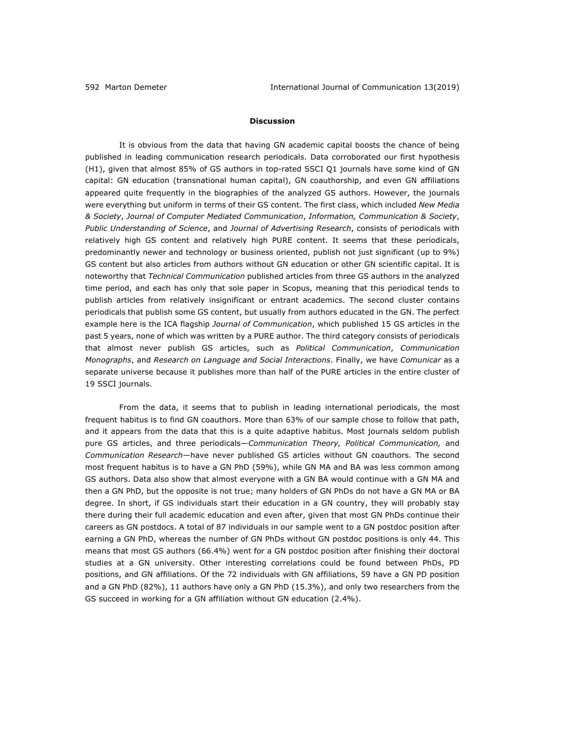### **Discussion**

It is obvious from the data that having GN academic capital boosts the chance of being published in leading communication research periodicals. Data corroborated our first hypothesis (H1), given that almost 85% of GS authors in top-rated SSCI Q1 journals have some kind of GN capital: GN education (transnational human capital), GN coauthorship, and even GN affiliations appeared quite frequently in the biographies of the analyzed GS authors. However, the journals were everything but uniform in terms of their GS content. The first class, which included *New Media & Society*, *Journal of Computer Mediated Communication*, *Information, Communication & Society*, *Public Understanding of Science*, and *Journal of Advertising Research*, consists of periodicals with relatively high GS content and relatively high PURE content. It seems that these periodicals, predominantly newer and technology or business oriented, publish not just significant (up to 9%) GS content but also articles from authors without GN education or other GN scientific capital. It is noteworthy that *Technical Communication* published articles from three GS authors in the analyzed time period, and each has only that sole paper in Scopus, meaning that this periodical tends to publish articles from relatively insignificant or entrant academics. The second cluster contains periodicals that publish some GS content, but usually from authors educated in the GN. The perfect example here is the ICA flagship *Journal of Communication*, which published 15 GS articles in the past 5 years, none of which was written by a PURE author. The third category consists of periodicals that almost never publish GS articles, such as *Political Communication*, *Communication Monographs*, and *Research on Language and Social Interactions*. Finally, we have *Comunicar* as a separate universe because it publishes more than half of the PURE articles in the entire cluster of 19 SSCI journals.

From the data, it seems that to publish in leading international periodicals, the most frequent habitus is to find GN coauthors. More than 63% of our sample chose to follow that path, and it appears from the data that this is a quite adaptive habitus. Most journals seldom publish pure GS articles, and three periodicals—*Communication Theory, Political Communication,* and *Communication Research—*have never published GS articles without GN coauthors. The second most frequent habitus is to have a GN PhD (59%), while GN MA and BA was less common among GS authors. Data also show that almost everyone with a GN BA would continue with a GN MA and then a GN PhD, but the opposite is not true; many holders of GN PhDs do not have a GN MA or BA degree. In short, if GS individuals start their education in a GN country, they will probably stay there during their full academic education and even after, given that most GN PhDs continue their careers as GN postdocs. A total of 87 individuals in our sample went to a GN postdoc position after earning a GN PhD, whereas the number of GN PhDs without GN postdoc positions is only 44. This means that most GS authors (66.4%) went for a GN postdoc position after finishing their doctoral studies at a GN university. Other interesting correlations could be found between PhDs, PD positions, and GN affiliations. Of the 72 individuals with GN affiliations, 59 have a GN PD position and a GN PhD (82%), 11 authors have only a GN PhD (15.3%), and only two researchers from the GS succeed in working for a GN affiliation without GN education (2.4%).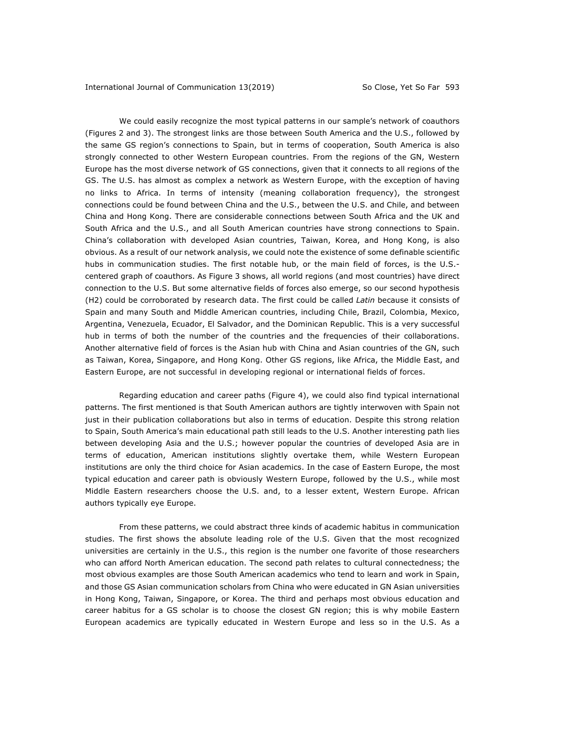We could easily recognize the most typical patterns in our sample's network of coauthors (Figures 2 and 3). The strongest links are those between South America and the U.S., followed by the same GS region's connections to Spain, but in terms of cooperation, South America is also strongly connected to other Western European countries. From the regions of the GN, Western Europe has the most diverse network of GS connections, given that it connects to all regions of the GS. The U.S. has almost as complex a network as Western Europe, with the exception of having no links to Africa. In terms of intensity (meaning collaboration frequency), the strongest connections could be found between China and the U.S., between the U.S. and Chile, and between China and Hong Kong. There are considerable connections between South Africa and the UK and South Africa and the U.S., and all South American countries have strong connections to Spain. China's collaboration with developed Asian countries, Taiwan, Korea, and Hong Kong, is also obvious. As a result of our network analysis, we could note the existence of some definable scientific hubs in communication studies. The first notable hub, or the main field of forces, is the U.S. centered graph of coauthors. As Figure 3 shows, all world regions (and most countries) have direct connection to the U.S. But some alternative fields of forces also emerge, so our second hypothesis (H2) could be corroborated by research data. The first could be called *Latin* because it consists of Spain and many South and Middle American countries, including Chile, Brazil, Colombia, Mexico, Argentina, Venezuela, Ecuador, El Salvador, and the Dominican Republic. This is a very successful hub in terms of both the number of the countries and the frequencies of their collaborations. Another alternative field of forces is the Asian hub with China and Asian countries of the GN, such as Taiwan, Korea, Singapore, and Hong Kong. Other GS regions, like Africa, the Middle East, and Eastern Europe, are not successful in developing regional or international fields of forces.

Regarding education and career paths (Figure 4), we could also find typical international patterns. The first mentioned is that South American authors are tightly interwoven with Spain not just in their publication collaborations but also in terms of education. Despite this strong relation to Spain, South America's main educational path still leads to the U.S. Another interesting path lies between developing Asia and the U.S.; however popular the countries of developed Asia are in terms of education, American institutions slightly overtake them, while Western European institutions are only the third choice for Asian academics. In the case of Eastern Europe, the most typical education and career path is obviously Western Europe, followed by the U.S., while most Middle Eastern researchers choose the U.S. and, to a lesser extent, Western Europe. African authors typically eye Europe.

From these patterns, we could abstract three kinds of academic habitus in communication studies. The first shows the absolute leading role of the U.S. Given that the most recognized universities are certainly in the U.S., this region is the number one favorite of those researchers who can afford North American education. The second path relates to cultural connectedness; the most obvious examples are those South American academics who tend to learn and work in Spain, and those GS Asian communication scholars from China who were educated in GN Asian universities in Hong Kong, Taiwan, Singapore, or Korea. The third and perhaps most obvious education and career habitus for a GS scholar is to choose the closest GN region; this is why mobile Eastern European academics are typically educated in Western Europe and less so in the U.S. As a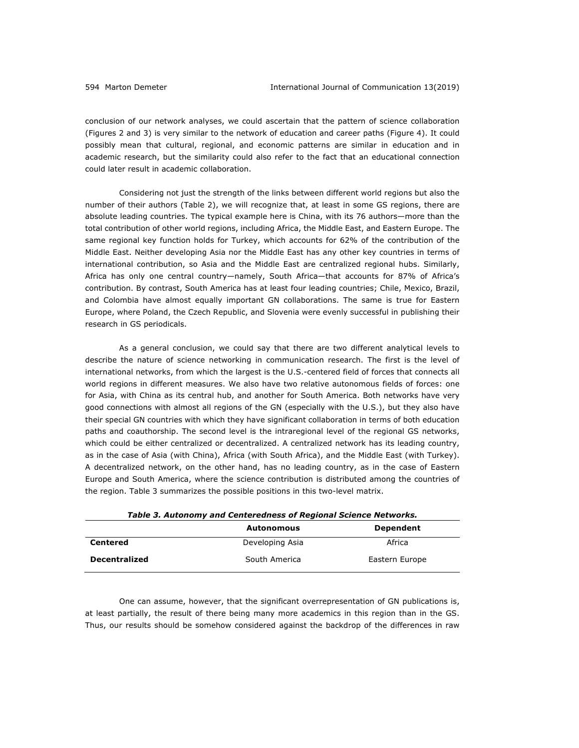conclusion of our network analyses, we could ascertain that the pattern of science collaboration (Figures 2 and 3) is very similar to the network of education and career paths (Figure 4). It could possibly mean that cultural, regional, and economic patterns are similar in education and in academic research, but the similarity could also refer to the fact that an educational connection could later result in academic collaboration.

Considering not just the strength of the links between different world regions but also the number of their authors (Table 2), we will recognize that, at least in some GS regions, there are absolute leading countries. The typical example here is China, with its 76 authors—more than the total contribution of other world regions, including Africa, the Middle East, and Eastern Europe. The same regional key function holds for Turkey, which accounts for 62% of the contribution of the Middle East. Neither developing Asia nor the Middle East has any other key countries in terms of international contribution, so Asia and the Middle East are centralized regional hubs. Similarly, Africa has only one central country—namely, South Africa—that accounts for 87% of Africa's contribution. By contrast, South America has at least four leading countries; Chile, Mexico, Brazil, and Colombia have almost equally important GN collaborations. The same is true for Eastern Europe, where Poland, the Czech Republic, and Slovenia were evenly successful in publishing their research in GS periodicals.

As a general conclusion, we could say that there are two different analytical levels to describe the nature of science networking in communication research. The first is the level of international networks, from which the largest is the U.S.-centered field of forces that connects all world regions in different measures. We also have two relative autonomous fields of forces: one for Asia, with China as its central hub, and another for South America. Both networks have very good connections with almost all regions of the GN (especially with the U.S.), but they also have their special GN countries with which they have significant collaboration in terms of both education paths and coauthorship. The second level is the intraregional level of the regional GS networks, which could be either centralized or decentralized. A centralized network has its leading country, as in the case of Asia (with China), Africa (with South Africa), and the Middle East (with Turkey). A decentralized network, on the other hand, has no leading country, as in the case of Eastern Europe and South America, where the science contribution is distributed among the countries of the region. Table 3 summarizes the possible positions in this two-level matrix.

| Table 3. Autonomy and Centeredness of Regional Science Networks. |                   |                |  |  |  |  |  |
|------------------------------------------------------------------|-------------------|----------------|--|--|--|--|--|
|                                                                  | <b>Autonomous</b> | Dependent      |  |  |  |  |  |
| Centered                                                         | Developing Asia   | Africa         |  |  |  |  |  |
| <b>Decentralized</b>                                             | South America     | Eastern Europe |  |  |  |  |  |

One can assume, however, that the significant overrepresentation of GN publications is, at least partially, the result of there being many more academics in this region than in the GS. Thus, our results should be somehow considered against the backdrop of the differences in raw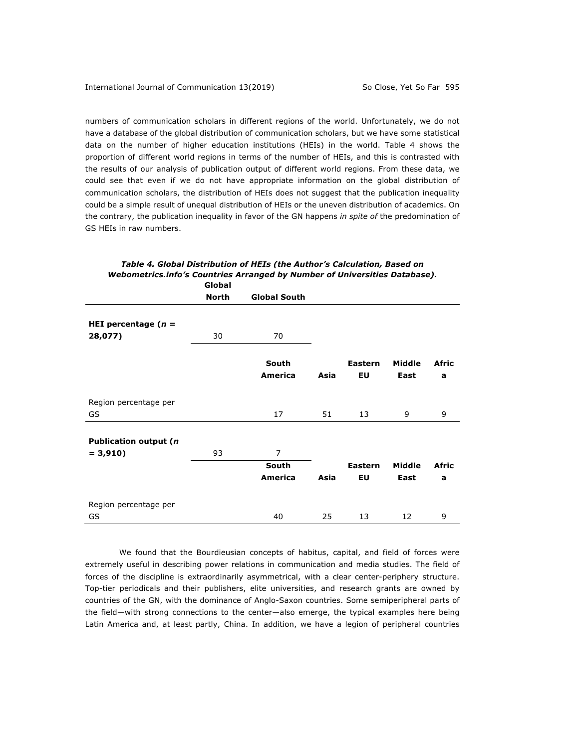numbers of communication scholars in different regions of the world. Unfortunately, we do not have a database of the global distribution of communication scholars, but we have some statistical data on the number of higher education institutions (HEIs) in the world. Table 4 shows the proportion of different world regions in terms of the number of HEIs, and this is contrasted with the results of our analysis of publication output of different world regions. From these data, we could see that even if we do not have appropriate information on the global distribution of communication scholars, the distribution of HEIs does not suggest that the publication inequality could be a simple result of unequal distribution of HEIs or the uneven distribution of academics. On the contrary, the publication inequality in favor of the GN happens *in spite of* the predomination of GS HEIs in raw numbers.

|                              | Global       |                     |      |                |        |       |
|------------------------------|--------------|---------------------|------|----------------|--------|-------|
|                              | <b>North</b> | <b>Global South</b> |      |                |        |       |
|                              |              |                     |      |                |        |       |
| HEI percentage $(n =$        |              |                     |      |                |        |       |
| 28,077)                      | 30           | 70                  |      |                |        |       |
|                              |              | South               |      | <b>Eastern</b> | Middle | Afric |
|                              |              | America             | Asia | EU             | East   | a     |
| Region percentage per        |              |                     |      |                |        |       |
| GS                           |              | 17                  | 51   | 13             | 9      | 9     |
| <b>Publication output (n</b> |              |                     |      |                |        |       |
| $= 3,910$                    | 93           | $\overline{7}$      |      |                |        |       |
|                              |              | South               |      | Eastern        | Middle | Afric |
|                              |              | America             | Asia | EU             | East   | a     |
| Region percentage per        |              |                     |      |                |        |       |
| GS                           |              | 40                  | 25   | 13             | 12     | 9     |

*Table 4. Global Distribution of HEIs (the Author's Calculation, Based on Webometrics.info's Countries Arranged by Number of Universities Database).*

We found that the Bourdieusian concepts of habitus, capital, and field of forces were extremely useful in describing power relations in communication and media studies. The field of forces of the discipline is extraordinarily asymmetrical, with a clear center-periphery structure. Top-tier periodicals and their publishers, elite universities, and research grants are owned by countries of the GN, with the dominance of Anglo-Saxon countries. Some semiperipheral parts of the field—with strong connections to the center—also emerge, the typical examples here being Latin America and, at least partly, China. In addition, we have a legion of peripheral countries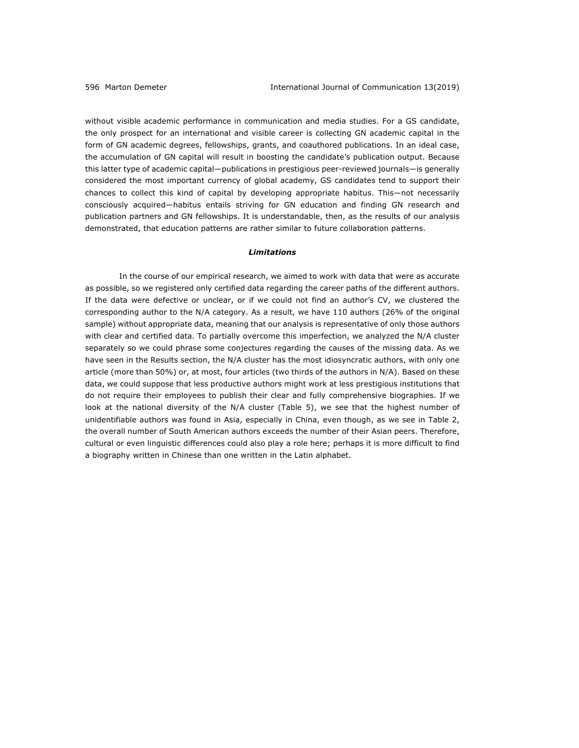without visible academic performance in communication and media studies. For a GS candidate, the only prospect for an international and visible career is collecting GN academic capital in the form of GN academic degrees, fellowships, grants, and coauthored publications. In an ideal case, the accumulation of GN capital will result in boosting the candidate's publication output. Because this latter type of academic capital—publications in prestigious peer-reviewed journals—is generally considered the most important currency of global academy, GS candidates tend to support their chances to collect this kind of capital by developing appropriate habitus. This—not necessarily consciously acquired—habitus entails striving for GN education and finding GN research and publication partners and GN fellowships. It is understandable, then, as the results of our analysis demonstrated, that education patterns are rather similar to future collaboration patterns.

### *Limitations*

In the course of our empirical research, we aimed to work with data that were as accurate as possible, so we registered only certified data regarding the career paths of the different authors. If the data were defective or unclear, or if we could not find an author's CV, we clustered the corresponding author to the N/A category. As a result, we have 110 authors (26% of the original sample) without appropriate data, meaning that our analysis is representative of only those authors with clear and certified data. To partially overcome this imperfection, we analyzed the N/A cluster separately so we could phrase some conjectures regarding the causes of the missing data. As we have seen in the Results section, the N/A cluster has the most idiosyncratic authors, with only one article (more than 50%) or, at most, four articles (two thirds of the authors in N/A). Based on these data, we could suppose that less productive authors might work at less prestigious institutions that do not require their employees to publish their clear and fully comprehensive biographies. If we look at the national diversity of the N/A cluster (Table 5), we see that the highest number of unidentifiable authors was found in Asia, especially in China, even though, as we see in Table 2, the overall number of South American authors exceeds the number of their Asian peers. Therefore, cultural or even linguistic differences could also play a role here; perhaps it is more difficult to find a biography written in Chinese than one written in the Latin alphabet.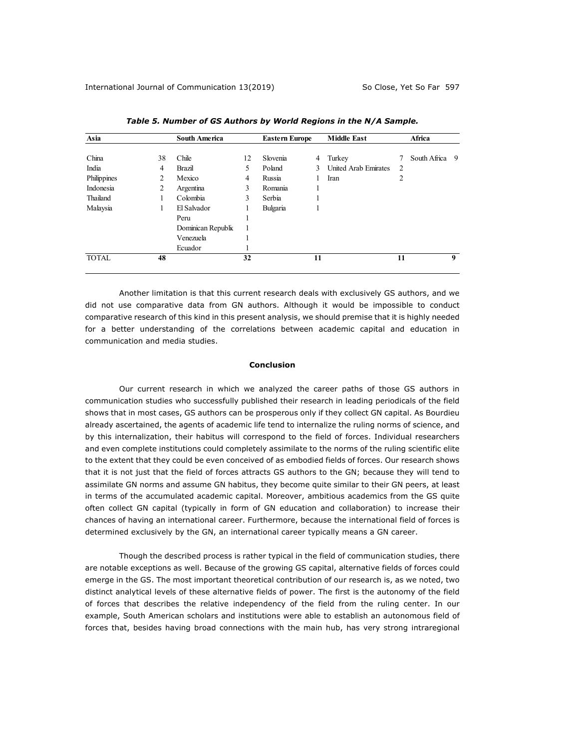| Asia         |    | <b>South America</b> |    | <b>Eastern Europe</b> |    | <b>Middle East</b>   |                | Africa       |   |
|--------------|----|----------------------|----|-----------------------|----|----------------------|----------------|--------------|---|
| China        | 38 | Chile                | 12 | Slovenia              | 4  | Turkey               |                | South Africa | 9 |
| India        | 4  | Brazil               | 5  | Poland                | 3  | United Arab Emirates | $\overline{2}$ |              |   |
| Philippines  | 2  | Mexico               | 4  | Russia                |    | Iran                 | 2              |              |   |
| Indonesia    | 2  | Argentina            | 3  | Romania               | н  |                      |                |              |   |
| Thailand     |    | Colombia             | 3  | Serbia                |    |                      |                |              |   |
| Malaysia     |    | El Salvador          |    | Bulgaria              |    |                      |                |              |   |
|              |    | Peru                 |    |                       |    |                      |                |              |   |
|              |    | Dominican Republic   | 1  |                       |    |                      |                |              |   |
|              |    | Venezuela            |    |                       |    |                      |                |              |   |
|              |    | Ecuador              |    |                       |    |                      |                |              |   |
| <b>TOTAL</b> | 48 |                      | 32 |                       | 11 |                      | 11             |              | 9 |
|              |    |                      |    |                       |    |                      |                |              |   |

*Table 5. Number of GS Authors by World Regions in the N/A Sample.*

Another limitation is that this current research deals with exclusively GS authors, and we did not use comparative data from GN authors. Although it would be impossible to conduct comparative research of this kind in this present analysis, we should premise that it is highly needed for a better understanding of the correlations between academic capital and education in communication and media studies.

### **Conclusion**

Our current research in which we analyzed the career paths of those GS authors in communication studies who successfully published their research in leading periodicals of the field shows that in most cases, GS authors can be prosperous only if they collect GN capital. As Bourdieu already ascertained, the agents of academic life tend to internalize the ruling norms of science, and by this internalization, their habitus will correspond to the field of forces. Individual researchers and even complete institutions could completely assimilate to the norms of the ruling scientific elite to the extent that they could be even conceived of as embodied fields of forces. Our research shows that it is not just that the field of forces attracts GS authors to the GN; because they will tend to assimilate GN norms and assume GN habitus, they become quite similar to their GN peers, at least in terms of the accumulated academic capital. Moreover, ambitious academics from the GS quite often collect GN capital (typically in form of GN education and collaboration) to increase their chances of having an international career. Furthermore, because the international field of forces is determined exclusively by the GN, an international career typically means a GN career.

Though the described process is rather typical in the field of communication studies, there are notable exceptions as well. Because of the growing GS capital, alternative fields of forces could emerge in the GS. The most important theoretical contribution of our research is, as we noted, two distinct analytical levels of these alternative fields of power. The first is the autonomy of the field of forces that describes the relative independency of the field from the ruling center. In our example, South American scholars and institutions were able to establish an autonomous field of forces that, besides having broad connections with the main hub, has very strong intraregional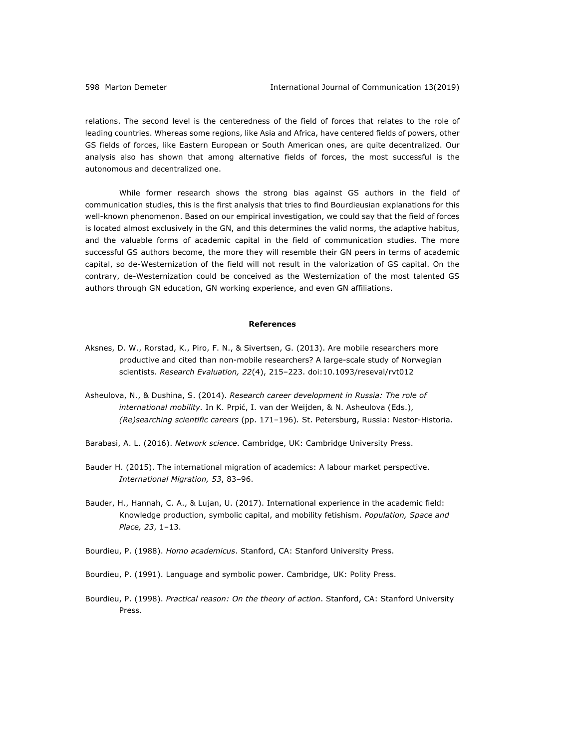relations. The second level is the centeredness of the field of forces that relates to the role of leading countries. Whereas some regions, like Asia and Africa, have centered fields of powers, other GS fields of forces, like Eastern European or South American ones, are quite decentralized. Our analysis also has shown that among alternative fields of forces, the most successful is the autonomous and decentralized one.

While former research shows the strong bias against GS authors in the field of communication studies, this is the first analysis that tries to find Bourdieusian explanations for this well-known phenomenon. Based on our empirical investigation, we could say that the field of forces is located almost exclusively in the GN, and this determines the valid norms, the adaptive habitus, and the valuable forms of academic capital in the field of communication studies. The more successful GS authors become, the more they will resemble their GN peers in terms of academic capital, so de-Westernization of the field will not result in the valorization of GS capital. On the contrary, de-Westernization could be conceived as the Westernization of the most talented GS authors through GN education, GN working experience, and even GN affiliations.

### **References**

- Aksnes, D. W., Rorstad, K., Piro, F. N., & Sivertsen, G. (2013). Are mobile researchers more productive and cited than non-mobile researchers? A large-scale study of Norwegian scientists. *Research Evaluation, 22*(4), 215–223. doi:10.1093/reseval/rvt012
- Asheulova, N., & Dushina, S. (2014). *Research career development in Russia: The role of international mobility.* In K. Prpić, I. van der Weijden, & N. Asheulova (Eds.), *(Re)searching scientific careers* (pp. 171–196)*.* St. Petersburg, Russia: Nestor-Historia.
- Barabasi, A. L. (2016). *Network science*. Cambridge, UK: Cambridge University Press.
- Bauder H. (2015). The international migration of academics: A labour market perspective. *International Migration, 53*, 83–96.
- Bauder, H., Hannah, C. A., & Lujan, U. (2017). International experience in the academic field: Knowledge production, symbolic capital, and mobility fetishism. *Population, Space and Place, 23*, 1–13.
- Bourdieu, P. (1988). *Homo academicus*. Stanford, CA: Stanford University Press.
- Bourdieu, P. (1991). Language and symbolic power. Cambridge, UK: Polity Press.
- Bourdieu, P. (1998). *Practical reason: On the theory of action*. Stanford, CA: Stanford University Press.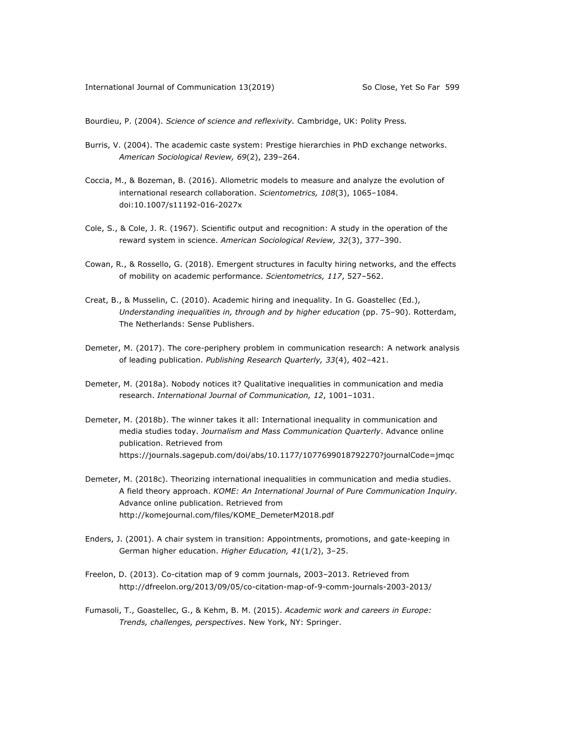Bourdieu, P. (2004). *Science of science and reflexivity.* Cambridge, UK: Polity Press*.*

- Burris, V. (2004). The academic caste system: Prestige hierarchies in PhD exchange networks. *American Sociological Review, 69*(2), 239–264.
- Coccia, M., & Bozeman, B. (2016). Allometric models to measure and analyze the evolution of international research collaboration. *Scientometrics, 108*(3), 1065–1084. doi:10.1007/s11192-016-2027x
- Cole, S., & Cole, J. R. (1967). Scientific output and recognition: A study in the operation of the reward system in science. *American Sociological Review, 32*(3), 377–390.
- Cowan, R., & Rossello, G. (2018). Emergent structures in faculty hiring networks, and the effects of mobility on academic performance. *Scientometrics, 117*, 527–562.
- Creat, B., & Musselin, C. (2010). Academic hiring and inequality. In G. Goastellec (Ed.), *Understanding inequalities in, through and by higher education* (pp. 75–90). Rotterdam, The Netherlands: Sense Publishers.
- Demeter, M. (2017). The core-periphery problem in communication research: A network analysis of leading publication. *Publishing Research Quarterly, 33*(4), 402–421.
- Demeter, M. (2018a). Nobody notices it? Qualitative inequalities in communication and media research. *International Journal of Communication, 12*, 1001–1031.
- Demeter, M. (2018b). The winner takes it all: International inequality in communication and media studies today. *Journalism and Mass Communication Quarterly*. Advance online publication. Retrieved from https://journals.sagepub.com/doi/abs/10.1177/1077699018792270?journalCode=jmqc
- Demeter, M. (2018c). Theorizing international inequalities in communication and media studies. A field theory approach. *KOME: An International Journal of Pure Communication Inquiry.* Advance online publication. Retrieved from http://komejournal.com/files/KOME\_DemeterM2018.pdf
- Enders, J. (2001). A chair system in transition: Appointments, promotions, and gate-keeping in German higher education. *Higher Education, 41*(1/2), 3–25.
- Freelon, D. (2013). Co-citation map of 9 comm journals, 2003–2013. Retrieved from http://dfreelon.org/2013/09/05/co-citation-map-of-9-comm-journals-2003-2013/
- Fumasoli, T., Goastellec, G., & Kehm, B. M. (2015). *Academic work and careers in Europe: Trends, challenges, perspectives*. New York, NY: Springer.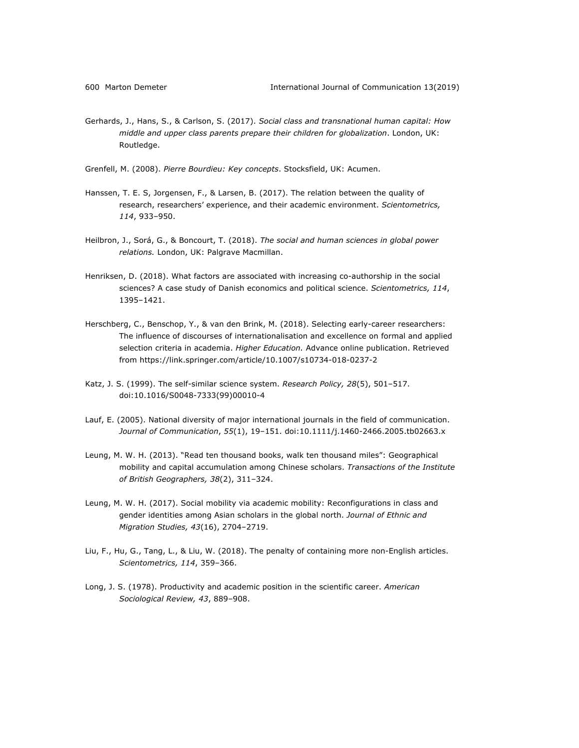Gerhards, J., Hans, S., & Carlson, S. (2017). *Social class and transnational human capital: How middle and upper class parents prepare their children for globalization*. London, UK: Routledge.

Grenfell, M. (2008). *Pierre Bourdieu: Key concepts*. Stocksfield, UK: Acumen.

- Hanssen, T. E. S, Jorgensen, F., & Larsen, B. (2017). The relation between the quality of research, researchers' experience, and their academic environment. *Scientometrics, 114*, 933–950.
- Heilbron, J., Sorá, G., & Boncourt, T. (2018). *The social and human sciences in global power relations.* London, UK: Palgrave Macmillan.
- Henriksen, D. (2018). What factors are associated with increasing co-authorship in the social sciences? A case study of Danish economics and political science. *Scientometrics, 114*, 1395–1421.
- Herschberg, C., Benschop, Y., & van den Brink, M. (2018). Selecting early-career researchers: The influence of discourses of internationalisation and excellence on formal and applied selection criteria in academia. *Higher Education.* Advance online publication. Retrieved from https://link.springer.com/article/10.1007/s10734-018-0237-2
- Katz, J. S. (1999). The self-similar science system. *Research Policy, 28*(5), 501–517. doi:10.1016/S0048-7333(99)00010-4
- Lauf, E. (2005). National diversity of major international journals in the field of communication. *Journal of Communication*, *55*(1), 19–151. doi:10.1111/j.1460-2466.2005.tb02663.x
- Leung, M. W. H. (2013). "Read ten thousand books, walk ten thousand miles": Geographical mobility and capital accumulation among Chinese scholars. *Transactions of the Institute of British Geographers, 38*(2), 311–324.
- Leung, M. W. H. (2017). Social mobility via academic mobility: Reconfigurations in class and gender identities among Asian scholars in the global north. *Journal of Ethnic and Migration Studies, 43*(16), 2704–2719.
- Liu, F., Hu, G., Tang, L., & Liu, W. (2018). The penalty of containing more non-English articles. *Scientometrics, 114*, 359–366.
- Long, J. S. (1978). Productivity and academic position in the scientific career. *American Sociological Review, 43*, 889–908.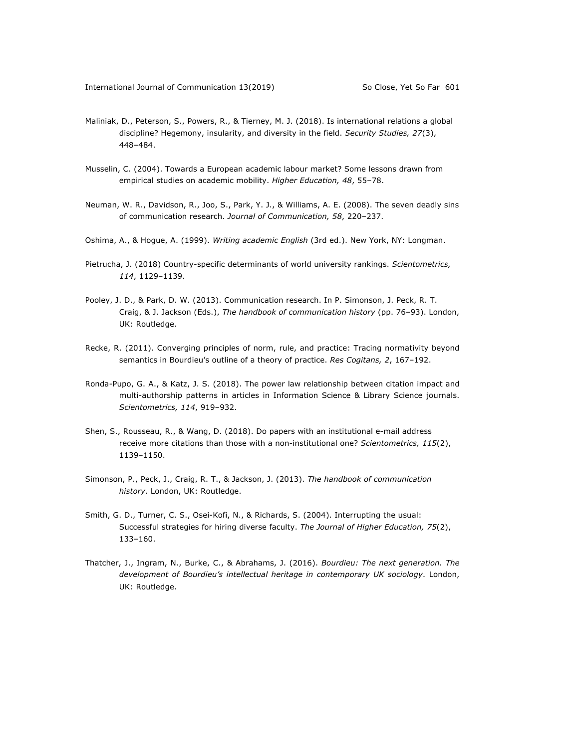- Maliniak, D., Peterson, S., Powers, R., & Tierney, M. J. (2018). Is international relations a global discipline? Hegemony, insularity, and diversity in the field. *Security Studies, 27*(3), 448–484.
- Musselin, C. (2004). Towards a European academic labour market? Some lessons drawn from empirical studies on academic mobility. *Higher Education, 48*, 55–78.
- Neuman, W. R., Davidson, R., Joo, S., Park, Y. J., & Williams, A. E. (2008). The seven deadly sins of communication research. *Journal of Communication, 58*, 220–237.
- Oshima, A., & Hogue, A. (1999). *Writing academic English* (3rd ed.). New York, NY: Longman.
- Pietrucha, J. (2018) Country-specific determinants of world university rankings. *Scientometrics, 114*, 1129–1139.
- Pooley, J. D., & Park, D. W. (2013). Communication research. In P. Simonson, J. Peck, R. T. Craig, & J. Jackson (Eds.), *The handbook of communication history* (pp. 76–93). London, UK: Routledge.
- Recke, R. (2011). Converging principles of norm, rule, and practice: Tracing normativity beyond semantics in Bourdieu's outline of a theory of practice. *Res Cogitans, 2*, 167–192.
- Ronda-Pupo, G. A., & Katz, J. S. (2018). The power law relationship between citation impact and multi-authorship patterns in articles in Information Science & Library Science journals. *Scientometrics, 114*, 919–932.
- Shen, S., Rousseau, R., & Wang, D. (2018). Do papers with an institutional e-mail address receive more citations than those with a non-institutional one? *Scientometrics, 115*(2), 1139–1150.
- Simonson, P., Peck, J., Craig, R. T., & Jackson, J. (2013). *The handbook of communication history*. London, UK: Routledge.
- Smith, G. D., Turner, C. S., Osei-Kofi, N., & Richards, S. (2004). Interrupting the usual: Successful strategies for hiring diverse faculty. *The Journal of Higher Education, 75*(2), 133–160.
- Thatcher, J., Ingram, N., Burke, C., & Abrahams, J. (2016). *Bourdieu: The next generation. The development of Bourdieu's intellectual heritage in contemporary UK sociology*. London, UK: Routledge.